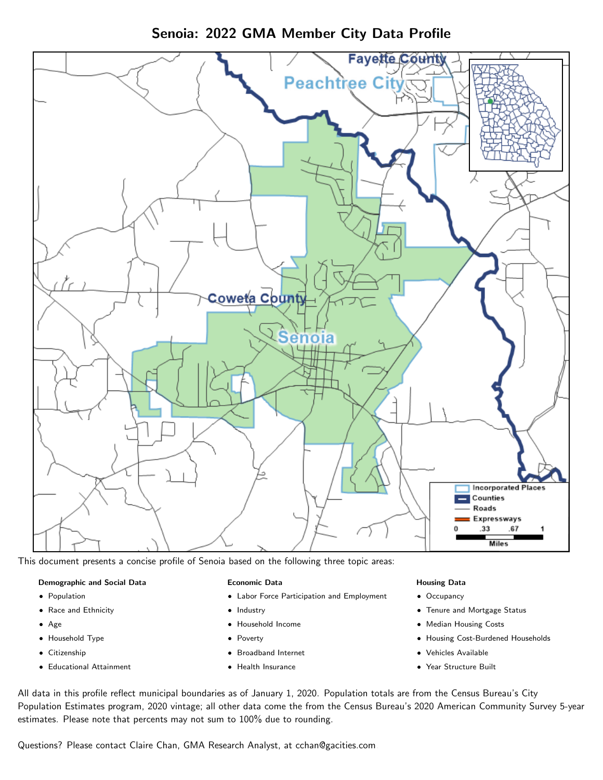Senoia: 2022 GMA Member City Data Profile



This document presents a concise profile of Senoia based on the following three topic areas:

#### Demographic and Social Data

- **•** Population
- Race and Ethnicity
- Age
- Household Type
- **Citizenship**
- Educational Attainment

### Economic Data

- Labor Force Participation and Employment
- Industry
- Household Income
- Poverty
- Broadband Internet
- Health Insurance

#### Housing Data

- Occupancy
- Tenure and Mortgage Status
- Median Housing Costs
- Housing Cost-Burdened Households
- Vehicles Available
- $\bullet$ Year Structure Built

All data in this profile reflect municipal boundaries as of January 1, 2020. Population totals are from the Census Bureau's City Population Estimates program, 2020 vintage; all other data come the from the Census Bureau's 2020 American Community Survey 5-year estimates. Please note that percents may not sum to 100% due to rounding.

Questions? Please contact Claire Chan, GMA Research Analyst, at [cchan@gacities.com.](mailto:cchan@gacities.com)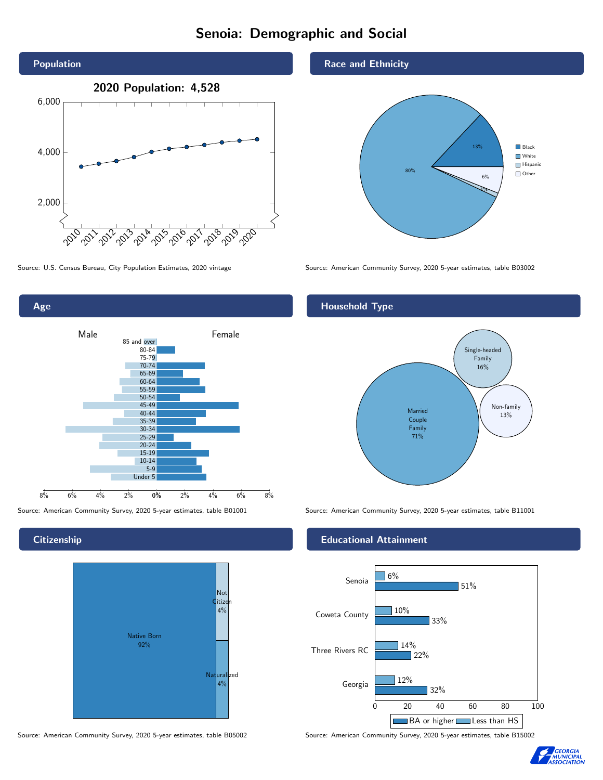# Senoia: Demographic and Social





### **Citizenship**



Source: American Community Survey, 2020 5-year estimates, table B05002 Source: American Community Survey, 2020 5-year estimates, table B15002

### Race and Ethnicity



Source: U.S. Census Bureau, City Population Estimates, 2020 vintage Source: American Community Survey, 2020 5-year estimates, table B03002

## Household Type



Source: American Community Survey, 2020 5-year estimates, table B01001 Source: American Community Survey, 2020 5-year estimates, table B11001

### Educational Attainment



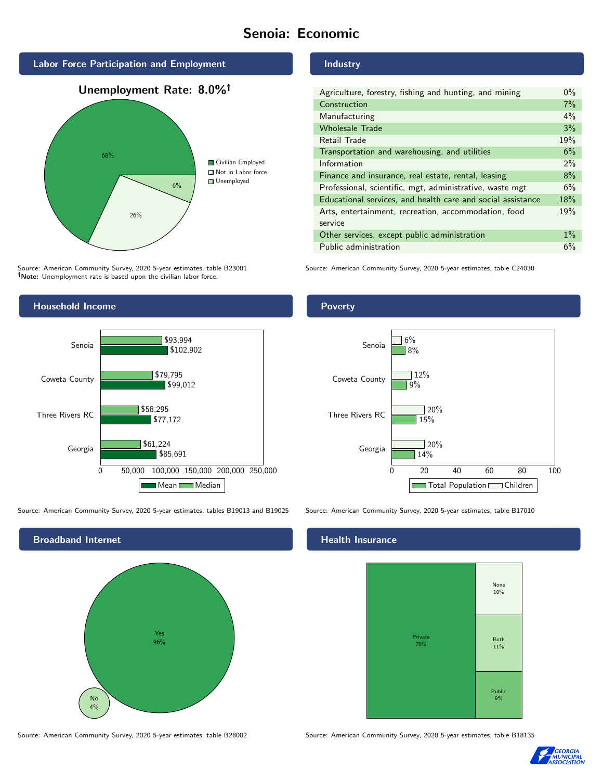# Senoia: Economic



Source: American Community Survey, 2020 5-year estimates, table B23001 Note: Unemployment rate is based upon the civilian labor force.



Source: American Community Survey, 2020 5-year estimates, tables B19013 and B19025 Source: American Community Survey, 2020 5-year estimates, table B17010



Source: American Community Survey, 2020 5-year estimates, table B28002 Source: American Community Survey, 2020 5-year estimates, table B18135

#### Industry

| Agriculture, forestry, fishing and hunting, and mining      | $0\%$ |
|-------------------------------------------------------------|-------|
| Construction                                                | 7%    |
| Manufacturing                                               | 4%    |
| <b>Wholesale Trade</b>                                      | 3%    |
| Retail Trade                                                | 19%   |
| Transportation and warehousing, and utilities               | 6%    |
| Information                                                 | 2%    |
| Finance and insurance, real estate, rental, leasing         | 8%    |
| Professional, scientific, mgt, administrative, waste mgt    | 6%    |
| Educational services, and health care and social assistance | 18%   |
| Arts, entertainment, recreation, accommodation, food        | 19%   |
| service                                                     |       |
| Other services, except public administration                | $1\%$ |
| Public administration                                       | 6%    |

Source: American Community Survey, 2020 5-year estimates, table C24030



## **Health Insurance**